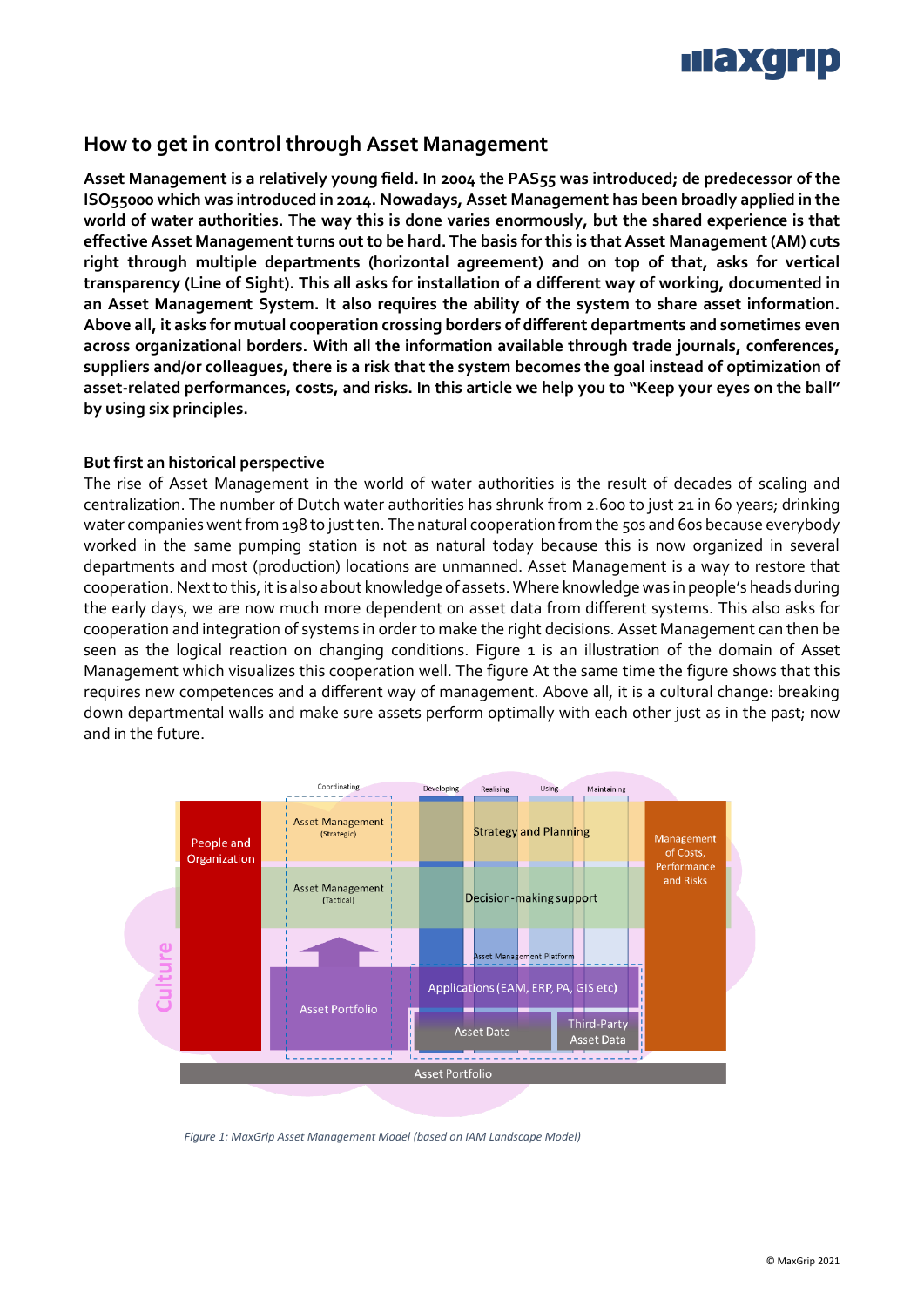

# **How to get in control through Asset Management**

**Asset Management is a relatively young field. In 2004 the PAS55 was introduced; de predecessor of the ISO55000 which was introduced in 2014. Nowadays, Asset Management has been broadly applied in the world of water authorities. The way this is done varies enormously, but the shared experience is that effective Asset Management turns out to be hard. The basis forthis is that Asset Management (AM) cuts right through multiple departments (horizontal agreement) and on top of that, asks for vertical transparency (Line of Sight). This all asks for installation of a different way of working, documented in an Asset Management System. It also requires the ability of the system to share asset information. Above all, it asks for mutual cooperation crossing borders of different departments and sometimes even across organizational borders. With all the information available through trade journals, conferences, suppliers and/or colleagues, there is a risk that the system becomes the goal instead of optimization of asset-related performances, costs, and risks. In this article we help you to "Keep your eyes on the ball" by using six principles.** 

## **But first an historical perspective**

The rise of Asset Management in the world of water authorities is the result of decades of scaling and centralization. The number of Dutch water authorities has shrunk from 2.600 to just 21 in 60 years; drinking water companies went from 198 to just ten. The natural cooperation from the 50s and 60s because everybody worked in the same pumping station is not as natural today because this is now organized in several departments and most (production) locations are unmanned. Asset Management is a way to restore that cooperation. Next to this, it is also about knowledge of assets. Where knowledge was in people's heads during the early days, we are now much more dependent on asset data from different systems. This also asks for cooperation and integration of systems in order to make the right decisions. Asset Management can then be seen as the logical reaction on changing conditions. Figure 1 is an illustration of the domain of Asset Management which visualizes this cooperation well. The figure At the same time the figure shows that this requires new competences and a different way of management. Above all, it is a cultural change: breaking down departmental walls and make sure assets perform optimally with each other just as in the past; now and in the future.



<span id="page-0-0"></span>*Figure 1: MaxGrip Asset Management Model (based on IAM Landscape Model)*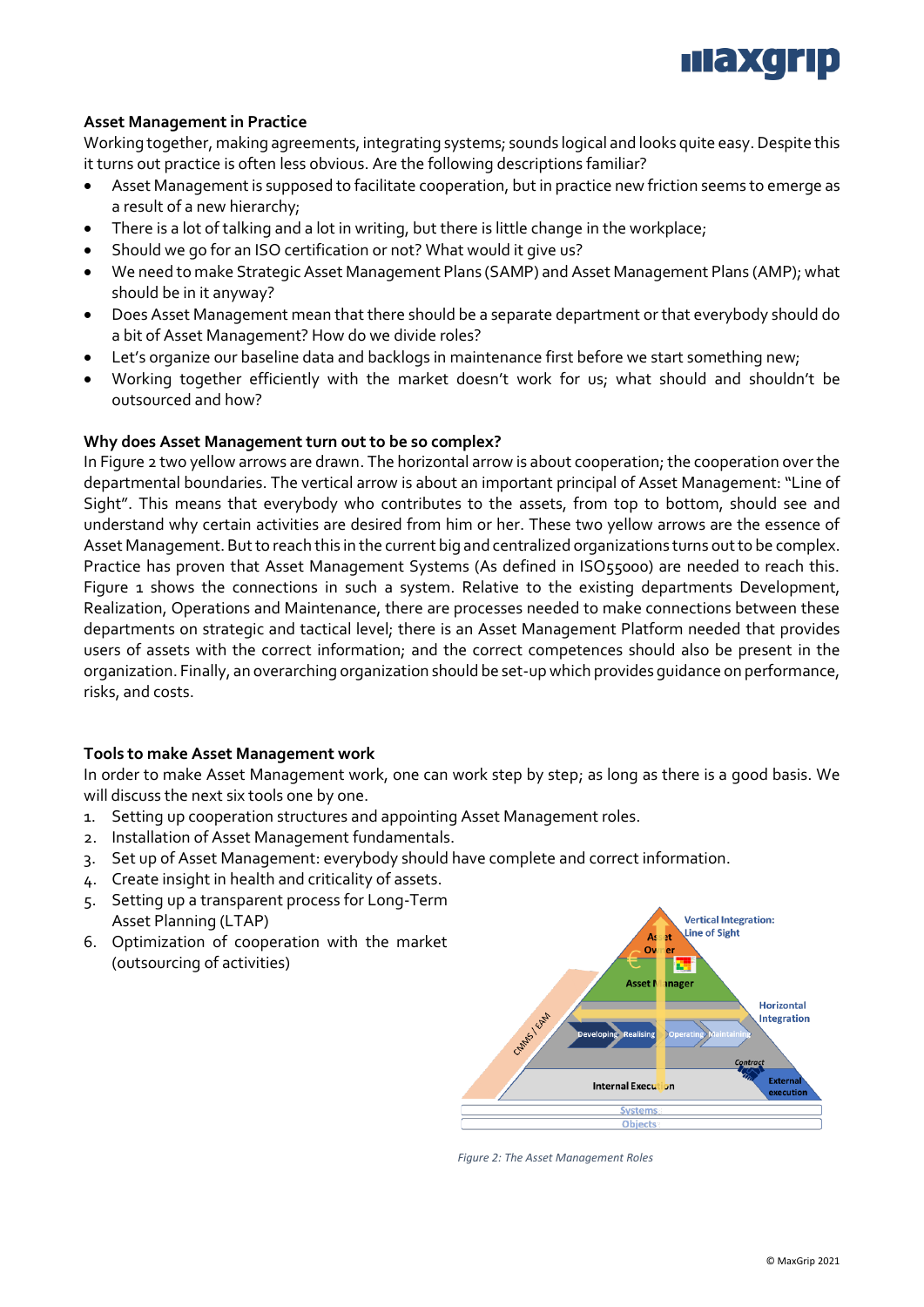

# **Asset Management in Practice**

Working together, making agreements, integrating systems; sounds logical and looks quite easy. Despite this it turns out practice is often less obvious. Are the following descriptions familiar?

- Asset Management is supposed to facilitate cooperation, but in practice new friction seems to emerge as a result of a new hierarchy;
- There is a lot of talking and a lot in writing, but there is little change in the workplace;
- Should we go for an ISO certification or not? What would it give us?
- We need to make Strategic Asset Management Plans (SAMP) and Asset Management Plans (AMP); what should be in it anyway?
- Does Asset Management mean that there should be a separate department or that everybody should do a bit of Asset Management? How do we divide roles?
- Let's organize our baseline data and backlogs in maintenance first before we start something new;
- Working together efficiently with the market doesn't work for us; what should and shouldn't be outsourced and how?

#### **Why does Asset Management turn out to be so complex?**

I[n Figure 2](#page-1-0) two yellow arrows are drawn. The horizontal arrow is about cooperation; the cooperation over the departmental boundaries. The vertical arrow is about an important principal of Asset Management: "Line of Sight". This means that everybody who contributes to the assets, from top to bottom, should see and understand why certain activities are desired from him or her. These two yellow arrows are the essence of Asset Management. But to reach this in the current big and centralized organizations turns out to be complex. Practice has proven that Asset Management Systems (As defined in ISO55000) are needed to reach this. [Figure 1](#page-0-0) shows the connections in such a system. Relative to the existing departments Development, Realization, Operations and Maintenance, there are processes needed to make connections between these departments on strategic and tactical level; there is an Asset Management Platform needed that provides users of assets with the correct information; and the correct competences should also be present in the organization. Finally, an overarching organization should be set-up which provides guidance on performance, risks, and costs.

#### **Tools to make Asset Management work**

In order to make Asset Management work, one can work step by step; as long as there is a good basis. We will discuss the next six tools one by one.

- 1. Setting up cooperation structures and appointing Asset Management roles.
- 2. Installation of Asset Management fundamentals.
- 3. Set up of Asset Management: everybody should have complete and correct information.
- 4. Create insight in health and criticality of assets.
- 5. Setting up a transparent process for Long-Term Asset Planning (LTAP)
- 6. Optimization of cooperation with the market (outsourcing of activities)



<span id="page-1-0"></span>*Figure 2: The Asset Management Roles*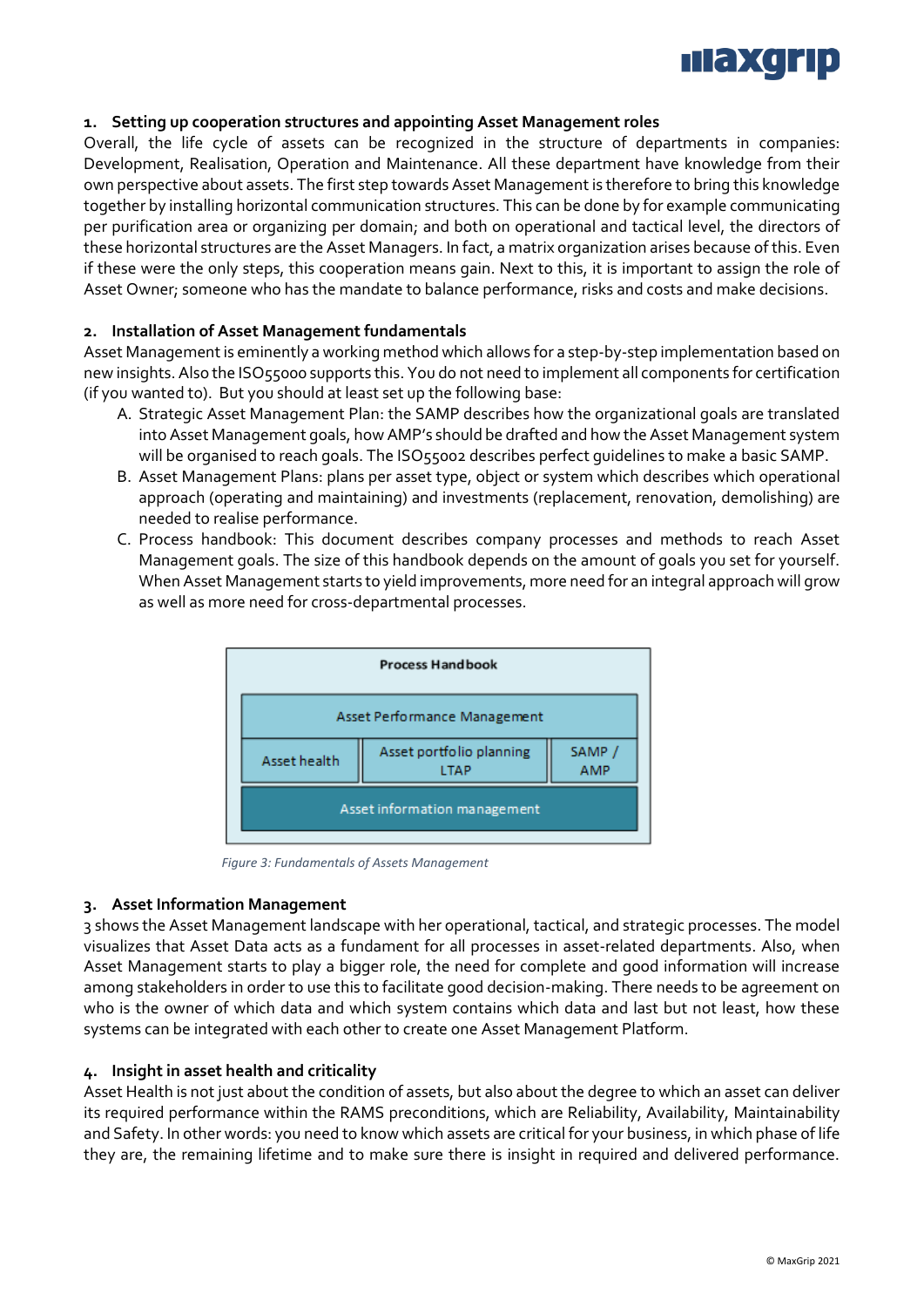

# **1. Setting up cooperation structures and appointing Asset Management roles**

Overall, the life cycle of assets can be recognized in the structure of departments in companies: Development, Realisation, Operation and Maintenance. All these department have knowledge from their own perspective about assets. The first step towards Asset Management is therefore to bring this knowledge together by installing horizontal communication structures. This can be done by for example communicating per purification area or organizing per domain; and both on operational and tactical level, the directors of these horizontal structures are the Asset Managers. In fact, a matrix organization arises because of this. Even if these were the only steps, this cooperation means gain. Next to this, it is important to assign the role of Asset Owner; someone who has the mandate to balance performance, risks and costs and make decisions.

## **2. Installation of Asset Management fundamentals**

Asset Management is eminently a working method which allows for a step-by-step implementation based on new insights. Also the ISO55000 supports this. You do not need to implement all components for certification (if you wanted to). But you should at least set up the following base:

- A. Strategic Asset Management Plan: the SAMP describes how the organizational goals are translated into Asset Management goals, how AMP's should be drafted and how the Asset Management system will be organised to reach goals. The ISO55002 describes perfect guidelines to make a basic SAMP.
- B. Asset Management Plans: plans per asset type, object or system which describes which operational approach (operating and maintaining) and investments (replacement, renovation, demolishing) are needed to realise performance.
- C. Process handbook: This document describes company processes and methods to reach Asset Management goals. The size of this handbook depends on the amount of goals you set for yourself. When Asset Management starts to yield improvements, more need for an integral approach will grow as well as more need for cross-departmental processes.



*Figure 3: Fundamentals of Assets Management*

#### **3. Asset Information Management**

3 shows the Asset Management landscape with her operational, tactical, and strategic processes. The model visualizes that Asset Data acts as a fundament for all processes in asset-related departments. Also, when Asset Management starts to play a bigger role, the need for complete and good information will increase among stakeholders in order to use this to facilitate good decision-making. There needs to be agreement on who is the owner of which data and which system contains which data and last but not least, how these systems can be integrated with each other to create one Asset Management Platform.

#### **4. Insight in asset health and criticality**

Asset Health is not just about the condition of assets, but also about the degree to which an asset can deliver its required performance within the RAMS preconditions, which are Reliability, Availability, Maintainability and Safety. In other words: you need to know which assets are critical for your business, in which phase of life they are, the remaining lifetime and to make sure there is insight in required and delivered performance.